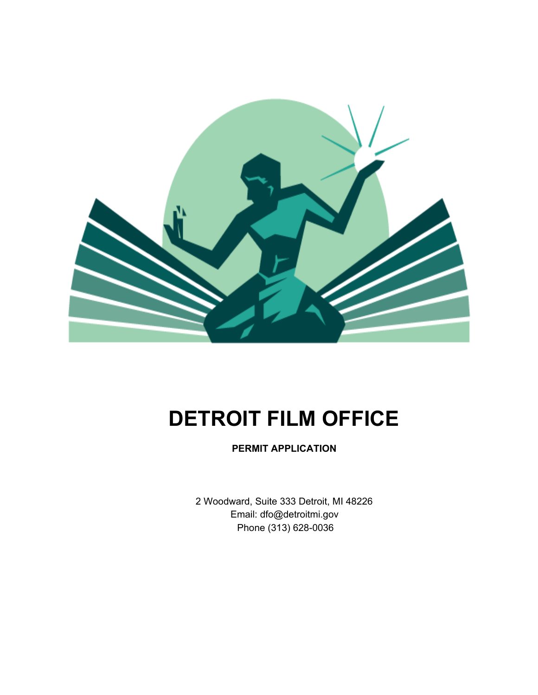

# **DETROIT FILM OFFICE**

**PERMIT APPLICATION**

2 Woodward, Suite 333 Detroit, MI 48226 Email: dfo@detroitmi.gov Phone (313) 628-0036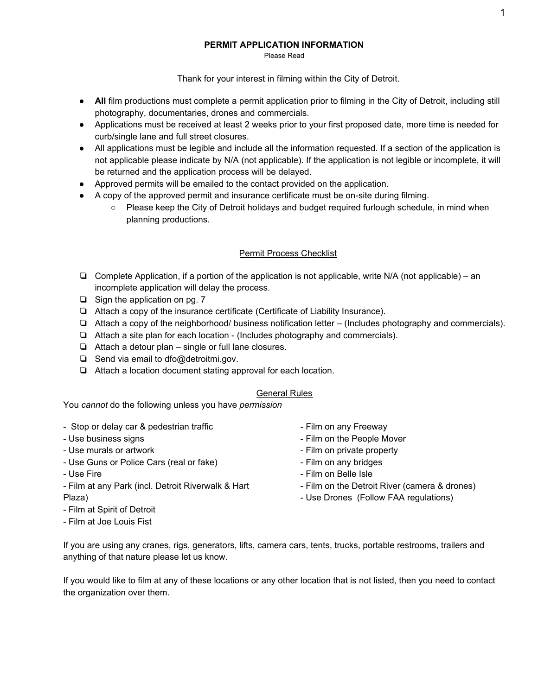### **PERMIT APPLICATION INFORMATION**

Please Read

Thank for your interest in filming within the City of Detroit.

- **All** film productions must complete a permit application prior to filming in the City of Detroit, including still photography, documentaries, drones and commercials.
- Applications must be received at least 2 weeks prior to your first proposed date, more time is needed for curb/single lane and full street closures.
- All applications must be legible and include all the information requested. If a section of the application is not applicable please indicate by N/A (not applicable). If the application is not legible or incomplete, it will be returned and the application process will be delayed.
- Approved permits will be emailed to the contact provided on the application.
- A copy of the approved permit and insurance certificate must be on-site during filming.
	- Please keep the City of Detroit holidays and budget required furlough schedule, in mind when planning productions.

## Permit Process Checklist

- ❏ Complete Application, if a portion of the application is not applicable, write N/A (not applicable) an incomplete application will delay the process.
- ❏ Sign the application on pg. 7
- ❏ Attach a copy of the insurance certificate (Certificate of Liability Insurance).
- ❏ Attach a copy of the neighborhood/ business notification letter (Includes photography and commercials).
- ❏ Attach a site plan for each location (Includes photography and commercials).
- ❏ Attach a detour plan single or full lane closures.
- ❏ Send via email to dfo@detroitmi.gov.
- ❏ Attach a location document stating approval for each location.

#### General Rules

You *cannot* do the following unless you have *permission*

- Stop or delay car & pedestrian traffic - Use business signs - Use murals or artwork - Use Guns or Police Cars (real or fake) - Use Fire - Film at any Park (incl. Detroit Riverwalk & Hart Plaza) - Film at Spirit of Detroit - Film on any Freeway - Film on the People Mover - Film on private property - Film on any bridges - Film on Belle Isle - Film on the Detroit River (camera & drones) - Use Drones (Follow FAA regulations)
- Film at Joe Louis Fist
- If you are using any cranes, rigs, generators, lifts, camera cars, tents, trucks, portable restrooms, trailers and anything of that nature please let us know.

If you would like to film at any of these locations or any other location that is not listed, then you need to contact the organization over them.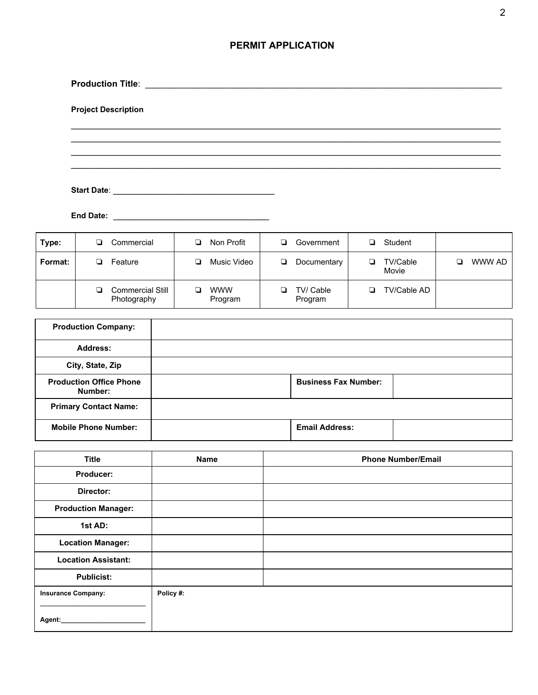# **PERMIT APPLICATION**

| <b>Project Description</b> |                                                                                                                      |                  |                |  |
|----------------------------|----------------------------------------------------------------------------------------------------------------------|------------------|----------------|--|
|                            |                                                                                                                      |                  |                |  |
|                            |                                                                                                                      |                  |                |  |
|                            |                                                                                                                      |                  |                |  |
| <b>End Date:</b>           | <u> 1989 - Johann John Stone, mars eta erromaniar eta erromania eta erromania eta erromania eta erromania eta er</u> |                  |                |  |
| <b>D</b> Commorcial        | <b>D.</b> Non Drofit                                                                                                 | Covernment<br>D. | $\Box$ Ctudont |  |

| Type:   | Commercial                      | Non Profit            | Government           | Student                       |        |
|---------|---------------------------------|-----------------------|----------------------|-------------------------------|--------|
| Format: | Feature                         | Music Video           | Documentary<br>u     | <b>TV/Cable</b><br>┚<br>Movie | WWW AD |
|         | Commercial Still<br>Photography | <b>WWW</b><br>Program | TV/ Cable<br>Program | TV/Cable AD<br>┚              |        |

| <b>Production Company:</b>                |                             |  |
|-------------------------------------------|-----------------------------|--|
| <b>Address:</b>                           |                             |  |
| City, State, Zip                          |                             |  |
| <b>Production Office Phone</b><br>Number: | <b>Business Fax Number:</b> |  |
| <b>Primary Contact Name:</b>              |                             |  |
| <b>Mobile Phone Number:</b>               | <b>Email Address:</b>       |  |

| <b>Title</b>               | Name      | <b>Phone Number/Email</b> |
|----------------------------|-----------|---------------------------|
| Producer:                  |           |                           |
| Director:                  |           |                           |
| <b>Production Manager:</b> |           |                           |
| 1st AD:                    |           |                           |
| <b>Location Manager:</b>   |           |                           |
| <b>Location Assistant:</b> |           |                           |
| <b>Publicist:</b>          |           |                           |
| <b>Insurance Company:</b>  | Policy #: |                           |
| Agent:                     |           |                           |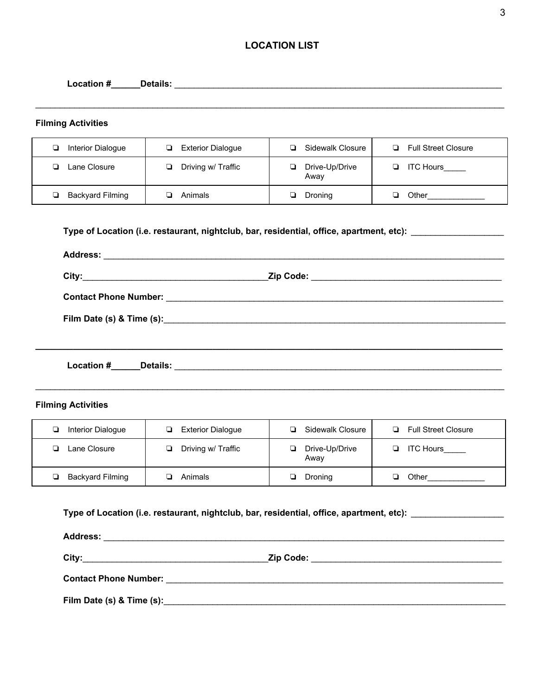# **LOCATION LIST**

| <b>Filming Activities</b>    |                                                                                                               |                            |                              |
|------------------------------|---------------------------------------------------------------------------------------------------------------|----------------------------|------------------------------|
| Interior Dialogue            | <b>Exterior Dialogue</b>                                                                                      | Sidewalk Closure<br>$\Box$ | Full Street Closure          |
| <b>Q</b> Lane Closure        | Driving w/ Traffic<br>$\Box$                                                                                  | Drive-Up/Drive<br>Away     | $\Box$ ITC Hours ______      |
| ❏<br><b>Backyard Filming</b> | $\Box$<br>Animals                                                                                             | <b>Droning</b>             | <b>D</b> Other______________ |
|                              |                                                                                                               |                            |                              |
|                              |                                                                                                               |                            |                              |
|                              |                                                                                                               |                            |                              |
|                              |                                                                                                               |                            |                              |
|                              |                                                                                                               |                            |                              |
|                              |                                                                                                               |                            |                              |
|                              |                                                                                                               |                            |                              |
| <b>Filming Activities</b>    |                                                                                                               |                            |                              |
| Interior Dialogue            | <b>Exterior Dialogue</b>                                                                                      | □ Sidewalk Closure         | Full Street Closure          |
| <b>El</b> Lane Closure       | Driving w/ Traffic<br>$\Box$                                                                                  | Drive-Up/Drive<br>Away     | ITC Hours                    |
| Backyard Filming             | <b>4</b> Animals                                                                                              | $\Box$ Droning             |                              |
|                              | Type of Location (i.e. restaurant, nightclub, bar, residential, office, apartment, etc): ____________________ |                            |                              |
|                              |                                                                                                               |                            |                              |

**Film Date (s) & Time (s):**\_\_\_\_\_\_\_\_\_\_\_\_\_\_\_\_\_\_\_\_\_\_\_\_\_\_\_\_\_\_\_\_\_\_\_\_\_\_\_\_\_\_\_\_\_\_\_\_\_\_\_\_\_\_\_\_\_\_\_\_\_\_\_\_\_\_\_\_\_\_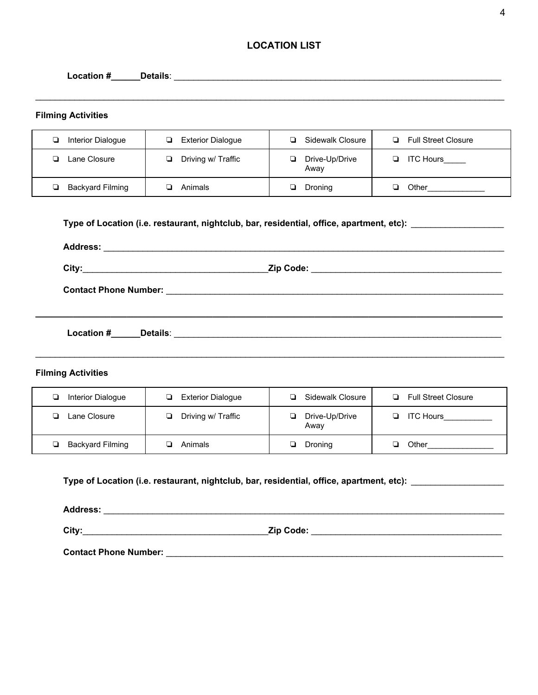# **LOCATION LIST**

| <b>Filming Activities</b>    |                                                                                          |                             |                                                         |
|------------------------------|------------------------------------------------------------------------------------------|-----------------------------|---------------------------------------------------------|
| Interior Dialogue<br>❏       | Exterior Dialogue                                                                        | Sidewalk Closure            | Full Street Closure                                     |
| Lane Closure<br>$\Box$       | Driving w/ Traffic                                                                       | Drive-Up/Drive<br>Away      | ITC Hours                                               |
| <b>Backyard Filming</b><br>▫ | $\Box$ Animals                                                                           | ❏<br>Droning                | $\Box$ Other                                            |
|                              |                                                                                          |                             |                                                         |
|                              |                                                                                          |                             |                                                         |
|                              |                                                                                          |                             |                                                         |
|                              |                                                                                          |                             |                                                         |
|                              |                                                                                          |                             |                                                         |
|                              |                                                                                          |                             |                                                         |
|                              |                                                                                          |                             |                                                         |
| Interior Dialogue            | <b>Exterior Dialogue</b>                                                                 | Sidewalk Closure            | Full Street Closure                                     |
| Lane Closure<br>▫            | Driving w/ Traffic<br>□                                                                  | Drive-Up/Drive<br>▫<br>Away |                                                         |
| <b>Backyard Filming</b><br>❏ | ❏<br>Animals                                                                             | Droning<br>❏                | $\Box$                                                  |
| <b>Filming Activities</b>    | Type of Location (i.e. restaurant, nightclub, bar, residential, office, apartment, etc): |                             | <b>D</b> ITC Hours__________<br>Other__________________ |

**Contact Phone Number:** \_\_\_\_\_\_\_\_\_\_\_\_\_\_\_\_\_\_\_\_\_\_\_\_\_\_\_\_\_\_\_\_\_\_\_\_\_\_\_\_\_\_\_\_\_\_\_\_\_\_\_\_\_\_\_\_\_\_\_\_\_\_\_\_\_\_\_\_\_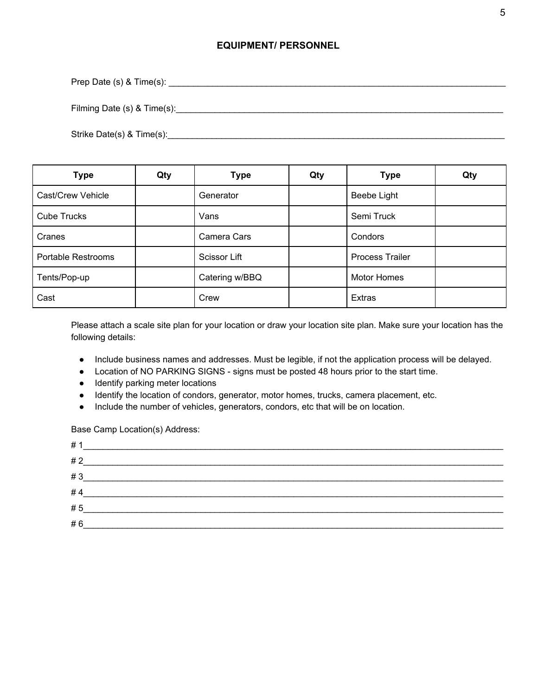## **EQUIPMENT/ PERSONNEL**

Prep Date (s) & Time(s): \_\_\_\_\_\_\_\_\_\_\_\_\_\_\_\_\_\_\_\_\_\_\_\_\_\_\_\_\_\_\_\_\_\_\_\_\_\_\_\_\_\_\_\_\_\_\_\_\_\_\_\_\_\_\_\_\_\_\_\_\_\_\_\_\_\_\_\_\_

Filming Date (s) & Time(s): example and the state of the state of the state of the state of the state of the state of the state of the state of the state of the state of the state of the state of the state of the state of

Strike Date(s) & Time(s):\_\_\_\_\_\_\_\_\_\_\_\_\_\_\_\_\_\_\_\_\_\_\_\_\_\_\_\_\_\_\_\_\_\_\_\_\_\_\_\_\_\_\_\_\_\_\_\_\_\_\_\_\_\_\_\_\_\_\_\_\_\_\_\_\_\_\_\_\_

| <b>Type</b>               | Qty | <b>Type</b>    | Qty | <b>Type</b>            | Qty |
|---------------------------|-----|----------------|-----|------------------------|-----|
| Cast/Crew Vehicle         |     | Generator      |     | Beebe Light            |     |
| <b>Cube Trucks</b>        |     | Vans           |     | Semi Truck             |     |
| Cranes                    |     | Camera Cars    |     | Condors                |     |
| <b>Portable Restrooms</b> |     | Scissor Lift   |     | <b>Process Trailer</b> |     |
| Tents/Pop-up              |     | Catering w/BBQ |     | <b>Motor Homes</b>     |     |
| Cast                      |     | Crew           |     | <b>Extras</b>          |     |

Please attach a scale site plan for your location or draw your location site plan. Make sure your location has the following details:

- Include business names and addresses. Must be legible, if not the application process will be delayed.
- Location of NO PARKING SIGNS signs must be posted 48 hours prior to the start time.
- Identify parking meter locations
- Identify the location of condors, generator, motor homes, trucks, camera placement, etc.
- Include the number of vehicles, generators, condors, etc that will be on location.

Base Camp Location(s) Address:

| # 1 |  |
|-----|--|
| #2  |  |
| #3  |  |
| #4  |  |
| #5  |  |
| #6  |  |
|     |  |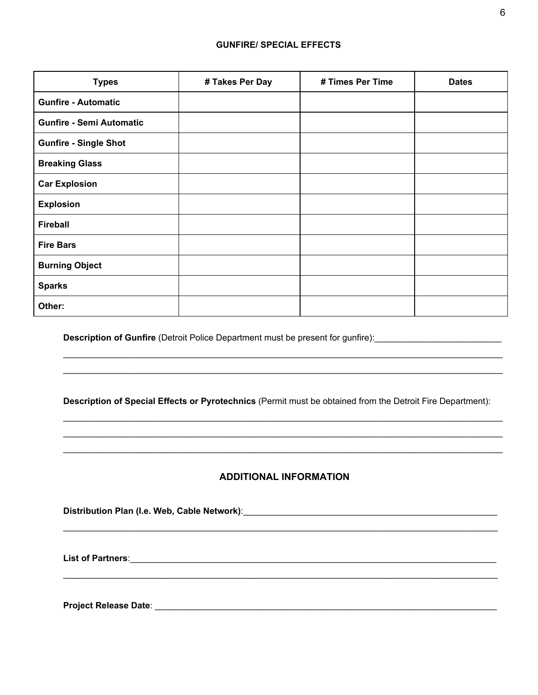#### **GUNFIRE/ SPECIAL EFFECTS**

| <b>Types</b>                    | # Takes Per Day | # Times Per Time | <b>Dates</b> |
|---------------------------------|-----------------|------------------|--------------|
| <b>Gunfire - Automatic</b>      |                 |                  |              |
| <b>Gunfire - Semi Automatic</b> |                 |                  |              |
| <b>Gunfire - Single Shot</b>    |                 |                  |              |
| <b>Breaking Glass</b>           |                 |                  |              |
| <b>Car Explosion</b>            |                 |                  |              |
| <b>Explosion</b>                |                 |                  |              |
| <b>Fireball</b>                 |                 |                  |              |
| <b>Fire Bars</b>                |                 |                  |              |
| <b>Burning Object</b>           |                 |                  |              |
| <b>Sparks</b>                   |                 |                  |              |
| Other:                          |                 |                  |              |

**Description of Gunfire** (Detroit Police Department must be present for gunfire): \_\_\_\_\_\_\_\_\_\_\_\_\_\_\_\_\_\_\_\_\_\_\_\_\_\_\_\_\_

**Description of Special Effects or Pyrotechnics** (Permit must be obtained from the Detroit Fire Department):

 $\_$  ,  $\_$  ,  $\_$  ,  $\_$  ,  $\_$  ,  $\_$  ,  $\_$  ,  $\_$  ,  $\_$  ,  $\_$  ,  $\_$  ,  $\_$  ,  $\_$  ,  $\_$  ,  $\_$  ,  $\_$  ,  $\_$  ,  $\_$  ,  $\_$  ,  $\_$  ,  $\_$  ,  $\_$  ,  $\_$  ,  $\_$  ,  $\_$  ,  $\_$  ,  $\_$  ,  $\_$  ,  $\_$  ,  $\_$  ,  $\_$  ,  $\_$  ,  $\_$  ,  $\_$  ,  $\_$  ,  $\_$  ,  $\_$  ,  $\_$  ,  $\_$  ,  $\_$  ,  $\_$  ,  $\_$  ,  $\_$  ,  $\_$  ,  $\_$  ,  $\_$  ,  $\_$  ,  $\_$  ,  $\_$  ,  $\_$  ,  $\_$  ,  $\_$  ,  $\_$  ,  $\_$  ,  $\_$  ,  $\_$  ,  $\_$  ,  $\_$  ,  $\_$  ,  $\_$  ,  $\_$  ,  $\_$  ,  $\_$  ,  $\_$  ,  $\_$  ,  $\_$  ,  $\_$  ,  $\_$  ,  $\_$  ,  $\_$  ,  $\_$  ,  $\_$  ,  $\_$  ,  $\_$  ,  $\_$  ,  $\_$  ,  $\_$  ,  $\_$  ,  $\_$  ,  $\_$  ,  $\_$  ,  $\_$  ,  $\_$  ,  $\_$  ,  $\_$  ,  $\_$  ,  $\_$  ,  $\_$  ,  $\_$  ,  $\_$  ,  $\_$  ,  $\_$  ,  $\_$  ,  $\_$  ,  $\_$  ,  $\_$  ,  $\_$  ,  $\_$  ,  $\_$  ,  $\_$  ,  $\_$  ,  $\_$  ,  $\_$  ,  $\_$  ,  $\_$  ,  $\_$  ,  $\_$  ,  $\_$  ,  $\_$  ,  $\_$  ,  $\_$  ,

 $\_$  ,  $\_$  ,  $\_$  ,  $\_$  ,  $\_$  ,  $\_$  ,  $\_$  ,  $\_$  ,  $\_$  ,  $\_$  ,  $\_$  ,  $\_$  ,  $\_$  ,  $\_$  ,  $\_$  ,  $\_$  ,  $\_$  ,  $\_$  ,  $\_$  ,  $\_$  ,  $\_$  ,  $\_$  ,  $\_$  ,  $\_$  ,  $\_$  ,  $\_$  ,  $\_$  ,  $\_$  ,  $\_$  ,  $\_$  ,  $\_$  ,  $\_$  ,  $\_$  ,  $\_$  ,  $\_$  ,  $\_$  ,  $\_$  ,  $\_$  ,  $\_$  ,  $\_$  ,  $\_$  ,  $\_$  ,  $\_$  ,  $\_$  ,  $\_$  ,  $\_$  ,  $\_$  ,  $\_$  ,  $\_$  ,  $\_$  ,  $\_$  ,  $\_$  ,  $\_$  ,  $\_$  ,  $\_$  ,  $\_$  ,  $\_$  ,  $\_$  ,  $\_$  ,  $\_$  ,  $\_$  ,  $\_$  ,  $\_$  ,  $\_$  ,  $\_$  ,  $\_$  ,  $\_$  ,  $\_$  ,  $\_$  ,  $\_$  ,  $\_$  ,  $\_$  ,  $\_$  ,  $\_$  ,

# **ADDITIONAL INFORMATION**

 $\_$  ,  $\_$  ,  $\_$  ,  $\_$  ,  $\_$  ,  $\_$  ,  $\_$  ,  $\_$  ,  $\_$  ,  $\_$  ,  $\_$  ,  $\_$  ,  $\_$  ,  $\_$  ,  $\_$  ,  $\_$  ,  $\_$  ,  $\_$  ,  $\_$  ,  $\_$  ,  $\_$  ,  $\_$  ,  $\_$  ,  $\_$  ,  $\_$  ,  $\_$  ,  $\_$  ,  $\_$  ,  $\_$  ,  $\_$  ,  $\_$  ,  $\_$  ,  $\_$  ,  $\_$  ,  $\_$  ,  $\_$  ,  $\_$  ,

 $\_$  ,  $\_$  ,  $\_$  ,  $\_$  ,  $\_$  ,  $\_$  ,  $\_$  ,  $\_$  ,  $\_$  ,  $\_$  ,  $\_$  ,  $\_$  ,  $\_$  ,  $\_$  ,  $\_$  ,  $\_$  ,  $\_$  ,  $\_$  ,  $\_$  ,  $\_$  ,  $\_$  ,  $\_$  ,  $\_$  ,  $\_$  ,  $\_$  ,  $\_$  ,  $\_$  ,  $\_$  ,  $\_$  ,  $\_$  ,  $\_$  ,  $\_$  ,  $\_$  ,  $\_$  ,  $\_$  ,  $\_$  ,  $\_$  ,

**Distribution Plan (I.e. Web, Cable Network)**:\_\_\_\_\_\_\_\_\_\_\_\_\_\_\_\_\_\_\_\_\_\_\_\_\_\_\_\_\_\_\_\_\_\_\_\_\_\_\_\_\_\_\_\_\_\_\_\_\_\_\_\_

**List of Partners**:\_\_\_\_\_\_\_\_\_\_\_\_\_\_\_\_\_\_\_\_\_\_\_\_\_\_\_\_\_\_\_\_\_\_\_\_\_\_\_\_\_\_\_\_\_\_\_\_\_\_\_\_\_\_\_\_\_\_\_\_\_\_\_\_\_\_\_\_\_\_\_\_\_\_\_

**Project Release Date**: \_\_\_\_\_\_\_\_\_\_\_\_\_\_\_\_\_\_\_\_\_\_\_\_\_\_\_\_\_\_\_\_\_\_\_\_\_\_\_\_\_\_\_\_\_\_\_\_\_\_\_\_\_\_\_\_\_\_\_\_\_\_\_\_\_\_\_\_\_\_